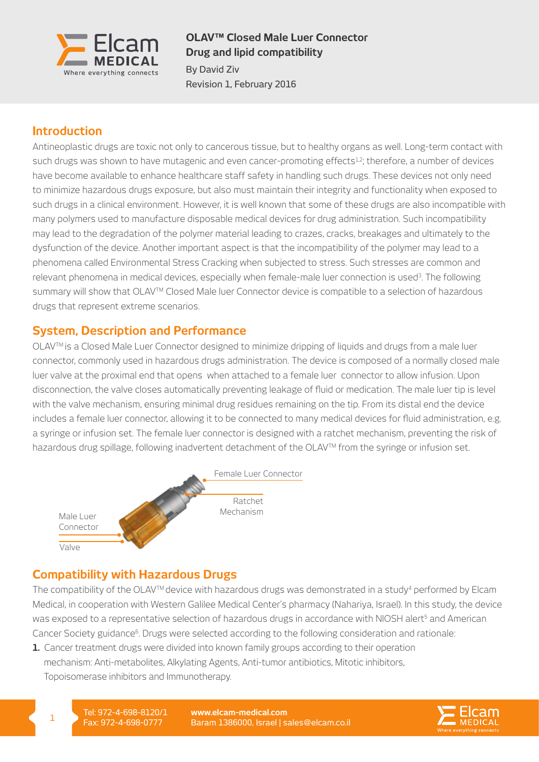

## **OLAV™ Closed Male Luer Connector Drug and lipid compatibility**

By David Ziv Revision 1, February 2016

# **Introduction**

Antineoplastic drugs are toxic not only to cancerous tissue, but to healthy organs as well. Long-term contact with such drugs was shown to have mutagenic and even cancer-promoting effects<sup>1,2</sup>; therefore, a number of devices have become available to enhance healthcare staff safety in handling such drugs. These devices not only need to minimize hazardous drugs exposure, but also must maintain their integrity and functionality when exposed to such drugs in a clinical environment. However, it is well known that some of these drugs are also incompatible with many polymers used to manufacture disposable medical devices for drug administration. Such incompatibility may lead to the degradation of the polymer material leading to crazes, cracks, breakages and ultimately to the dysfunction of the device. Another important aspect is that the incompatibility of the polymer may lead to a phenomena called Environmental Stress Cracking when subjected to stress. Such stresses are common and relevant phenomena in medical devices, especially when female-male luer connection is used<sup>3</sup>. The following summary will show that OLAV™ Closed Male luer Connector device is compatible to a selection of hazardous drugs that represent extreme scenarios.

## **System, Description and Performance**

OLAVTM is a Closed Male Luer Connector designed to minimize dripping of liquids and drugs from a male luer connector, commonly used in hazardous drugs administration. The device is composed of a normally closed male luer valve at the proximal end that opens when attached to a female luer connector to allow infusion. Upon disconnection, the valve closes automatically preventing leakage of fluid or medication. The male luer tip is level with the valve mechanism, ensuring minimal drug residues remaining on the tip. From its distal end the device includes a female luer connector, allowing it to be connected to many medical devices for fluid administration, e.g. a syringe or infusion set. The female luer connector is designed with a ratchet mechanism, preventing the risk of hazardous drug spillage, following inadvertent detachment of the OLAV™ from the syringe or infusion set.



## **Compatibility with Hazardous Drugs**

The compatibility of the OLAV<sup>TM</sup> device with hazardous drugs was demonstrated in a study<sup>4</sup> performed by Elcam Medical, in cooperation with Western Galilee Medical Center's pharmacy (Nahariya, Israel). In this study, the device was exposed to a representative selection of hazardous drugs in accordance with NIOSH alert<sup>5</sup> and American Cancer Society guidance<sup>6</sup>. Drugs were selected according to the following consideration and rationale:

**1.** Cancer treatment drugs were divided into known family groups according to their operation mechanism: Anti-metabolites, Alkylating Agents, Anti-tumor antibiotics, Mitotic inhibitors, Topoisomerase inhibitors and Immunotherapy.